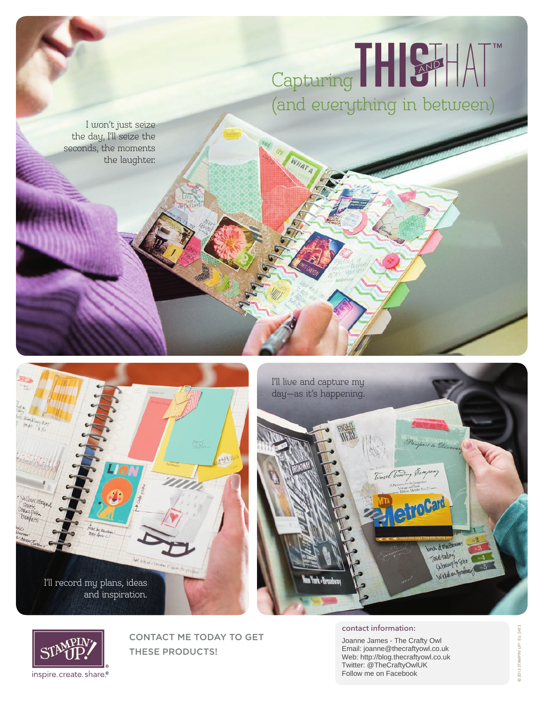# Capturing (and everything in between)

I won't just seize the day, I'll seize the seconds, the moments the laughter.







CONTACT ME TODAY TO GET THESE PRODUCTS!

contact information:

Joanne James - The Crafty Owl Email: joanne@thecraftyowl.co.uk Web: http://blog.thecraftyowl.co.uk Twitter: @TheCraftyOwlUK Follow me on Facebook